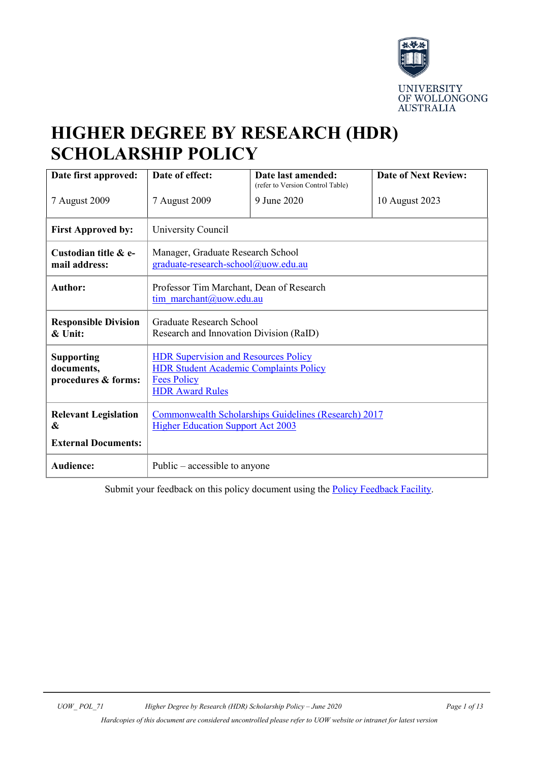

# **HIGHER DEGREE BY RESEARCH (HDR) SCHOLARSHIP POLICY**

| Date first approved:                                   | Date of effect:                                                                                                                              | Date last amended:<br>(refer to Version Control Table) | <b>Date of Next Review:</b> |
|--------------------------------------------------------|----------------------------------------------------------------------------------------------------------------------------------------------|--------------------------------------------------------|-----------------------------|
| 7 August 2009                                          | 7 August 2009                                                                                                                                | 9 June 2020                                            | 10 August 2023              |
| <b>First Approved by:</b>                              | University Council                                                                                                                           |                                                        |                             |
| Custodian title & e-<br>mail address:                  | Manager, Graduate Research School<br>graduate-research-school@uow.edu.au                                                                     |                                                        |                             |
| <b>Author:</b>                                         | Professor Tim Marchant, Dean of Research<br>tim marchant@uow.edu.au                                                                          |                                                        |                             |
| <b>Responsible Division</b><br>$\&$ Unit:              | <b>Graduate Research School</b><br>Research and Innovation Division (RaID)                                                                   |                                                        |                             |
| <b>Supporting</b><br>documents,<br>procedures & forms: | <b>HDR Supervision and Resources Policy</b><br><b>HDR Student Academic Complaints Policy</b><br><b>Fees Policy</b><br><b>HDR Award Rules</b> |                                                        |                             |
| <b>Relevant Legislation</b><br>&                       | Commonwealth Scholarships Guidelines (Research) 2017<br><b>Higher Education Support Act 2003</b>                                             |                                                        |                             |
| <b>External Documents:</b>                             |                                                                                                                                              |                                                        |                             |
| <b>Audience:</b>                                       | Public $-$ accessible to anyone                                                                                                              |                                                        |                             |

Submit your feedback on this policy document using the **Policy Feedback Facility**.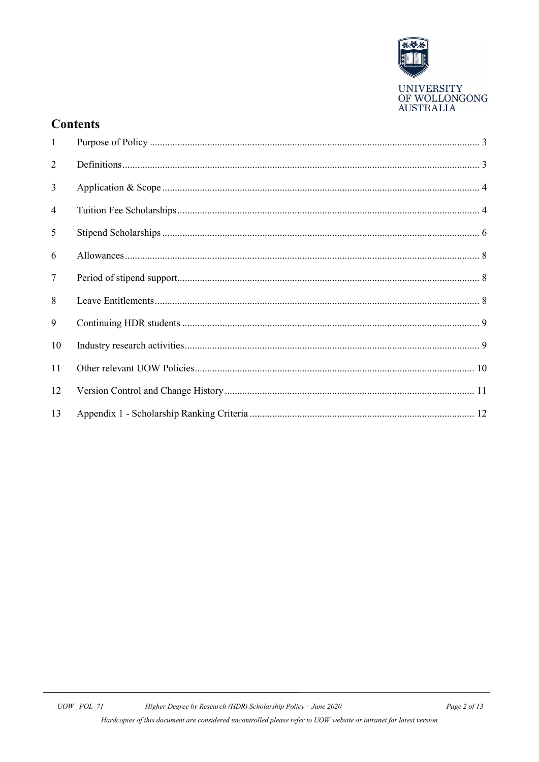

# **Contents**

| $\mathbf{1}$   |  |
|----------------|--|
| 2              |  |
| $\mathfrak{Z}$ |  |
| $\overline{4}$ |  |
| 5              |  |
| 6              |  |
| $\overline{7}$ |  |
| 8              |  |
| 9              |  |
| 10             |  |
| 11             |  |
| 12             |  |
| 13             |  |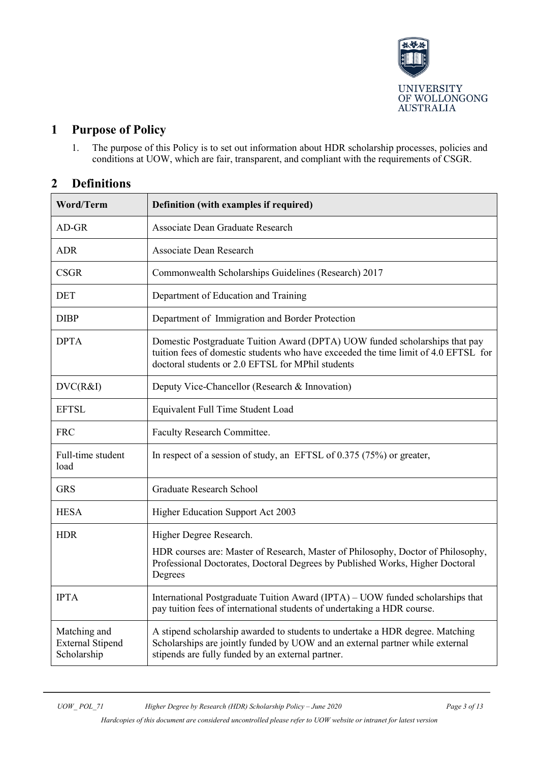

# <span id="page-2-0"></span>**1 Purpose of Policy**

1. The purpose of this Policy is to set out information about HDR scholarship processes, policies and conditions at UOW, which are fair, transparent, and compliant with the requirements of CSGR.

# <span id="page-2-1"></span>**2 Definitions**

| <b>Word/Term</b>                                       | Definition (with examples if required)                                                                                                                                                                                  |  |
|--------------------------------------------------------|-------------------------------------------------------------------------------------------------------------------------------------------------------------------------------------------------------------------------|--|
| $AD-GR$                                                | Associate Dean Graduate Research                                                                                                                                                                                        |  |
| ADR                                                    | <b>Associate Dean Research</b>                                                                                                                                                                                          |  |
| <b>CSGR</b>                                            | Commonwealth Scholarships Guidelines (Research) 2017                                                                                                                                                                    |  |
| <b>DET</b>                                             | Department of Education and Training                                                                                                                                                                                    |  |
| <b>DIBP</b>                                            | Department of Immigration and Border Protection                                                                                                                                                                         |  |
| <b>DPTA</b>                                            | Domestic Postgraduate Tuition Award (DPTA) UOW funded scholarships that pay<br>tuition fees of domestic students who have exceeded the time limit of 4.0 EFTSL for<br>doctoral students or 2.0 EFTSL for MPhil students |  |
| DVC(R&I)                                               | Deputy Vice-Chancellor (Research & Innovation)                                                                                                                                                                          |  |
| <b>EFTSL</b>                                           | Equivalent Full Time Student Load                                                                                                                                                                                       |  |
| <b>FRC</b>                                             | Faculty Research Committee.                                                                                                                                                                                             |  |
| Full-time student<br>load                              | In respect of a session of study, an EFTSL of $0.375$ (75%) or greater,                                                                                                                                                 |  |
| <b>GRS</b>                                             | <b>Graduate Research School</b>                                                                                                                                                                                         |  |
| <b>HESA</b>                                            | Higher Education Support Act 2003                                                                                                                                                                                       |  |
| <b>HDR</b>                                             | Higher Degree Research.                                                                                                                                                                                                 |  |
|                                                        | HDR courses are: Master of Research, Master of Philosophy, Doctor of Philosophy,<br>Professional Doctorates, Doctoral Degrees by Published Works, Higher Doctoral<br>Degrees                                            |  |
| <b>IPTA</b>                                            | International Postgraduate Tuition Award (IPTA) - UOW funded scholarships that<br>pay tuition fees of international students of undertaking a HDR course.                                                               |  |
| Matching and<br><b>External Stipend</b><br>Scholarship | A stipend scholarship awarded to students to undertake a HDR degree. Matching<br>Scholarships are jointly funded by UOW and an external partner while external<br>stipends are fully funded by an external partner.     |  |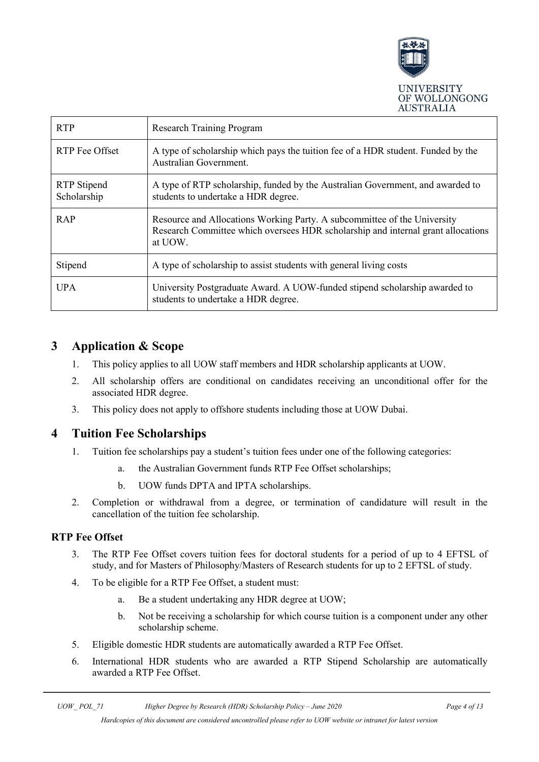

| <b>RTP</b>                 | <b>Research Training Program</b>                                                                                                                                        |  |
|----------------------------|-------------------------------------------------------------------------------------------------------------------------------------------------------------------------|--|
| RTP Fee Offset             | A type of scholarship which pays the tuition fee of a HDR student. Funded by the<br>Australian Government.                                                              |  |
| RTP Stipend<br>Scholarship | A type of RTP scholarship, funded by the Australian Government, and awarded to<br>students to undertake a HDR degree.                                                   |  |
| RAP                        | Resource and Allocations Working Party. A subcommittee of the University<br>Research Committee which oversees HDR scholarship and internal grant allocations<br>at UOW. |  |
| Stipend                    | A type of scholarship to assist students with general living costs                                                                                                      |  |
| <b>UPA</b>                 | University Postgraduate Award. A UOW-funded stipend scholarship awarded to<br>students to undertake a HDR degree.                                                       |  |

# <span id="page-3-0"></span>**3 Application & Scope**

- 1. This policy applies to all UOW staff members and HDR scholarship applicants at UOW.
- 2. All scholarship offers are conditional on candidates receiving an unconditional offer for the associated HDR degree.
- 3. This policy does not apply to offshore students including those at UOW Dubai.

### <span id="page-3-1"></span>**4 Tuition Fee Scholarships**

- 1. Tuition fee scholarships pay a student's tuition fees under one of the following categories:
	- a. the Australian Government funds RTP Fee Offset scholarships;
	- b. UOW funds DPTA and IPTA scholarships.
- 2. Completion or withdrawal from a degree, or termination of candidature will result in the cancellation of the tuition fee scholarship.

#### **RTP Fee Offset**

- 3. The RTP Fee Offset covers tuition fees for doctoral students for a period of up to 4 EFTSL of study, and for Masters of Philosophy/Masters of Research students for up to 2 EFTSL of study.
- 4. To be eligible for a RTP Fee Offset, a student must:
	- a. Be a student undertaking any HDR degree at UOW;
	- b. Not be receiving a scholarship for which course tuition is a component under any other scholarship scheme.
- 5. Eligible domestic HDR students are automatically awarded a RTP Fee Offset.
- 6. International HDR students who are awarded a RTP Stipend Scholarship are automatically awarded a RTP Fee Offset.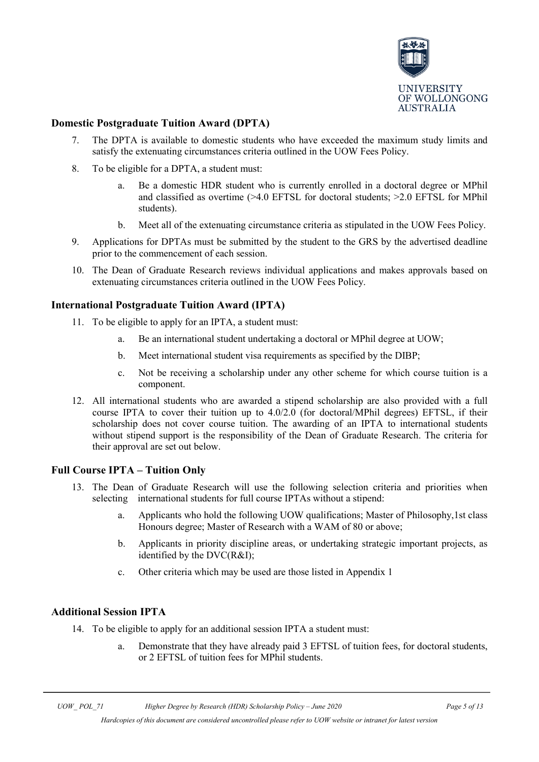

#### **Domestic Postgraduate Tuition Award (DPTA)**

- 7. The DPTA is available to domestic students who have exceeded the maximum study limits and satisfy the extenuating circumstances criteria outlined in the UOW Fees Policy.
- 8. To be eligible for a DPTA, a student must:
	- a. Be a domestic HDR student who is currently enrolled in a doctoral degree or MPhil and classified as overtime (>4.0 EFTSL for doctoral students; >2.0 EFTSL for MPhil students).
	- b. Meet all of the extenuating circumstance criteria as stipulated in the UOW Fees Policy.
- 9. Applications for DPTAs must be submitted by the student to the GRS by the advertised deadline prior to the commencement of each session.
- 10. The Dean of Graduate Research reviews individual applications and makes approvals based on extenuating circumstances criteria outlined in the UOW Fees Policy.

#### **International Postgraduate Tuition Award (IPTA)**

- 11. To be eligible to apply for an IPTA, a student must:
	- a. Be an international student undertaking a doctoral or MPhil degree at UOW;
	- b. Meet international student visa requirements as specified by the DIBP;
	- c. Not be receiving a scholarship under any other scheme for which course tuition is a component.
- 12. All international students who are awarded a stipend scholarship are also provided with a full course IPTA to cover their tuition up to 4.0/2.0 (for doctoral/MPhil degrees) EFTSL, if their scholarship does not cover course tuition. The awarding of an IPTA to international students without stipend support is the responsibility of the Dean of Graduate Research. The criteria for their approval are set out below.

#### **Full Course IPTA – Tuition Only**

- 13. The Dean of Graduate Research will use the following selection criteria and priorities when selecting international students for full course IPTAs without a stipend:
	- a. Applicants who hold the following UOW qualifications; Master of Philosophy,1st class Honours degree; Master of Research with a WAM of 80 or above;
	- b. Applicants in priority discipline areas, or undertaking strategic important projects, as identified by the DVC(R&I);
	- c. Other criteria which may be used are those listed in Appendix 1

#### **Additional Session IPTA**

- 14. To be eligible to apply for an additional session IPTA a student must:
	- a. Demonstrate that they have already paid 3 EFTSL of tuition fees, for doctoral students, or 2 EFTSL of tuition fees for MPhil students.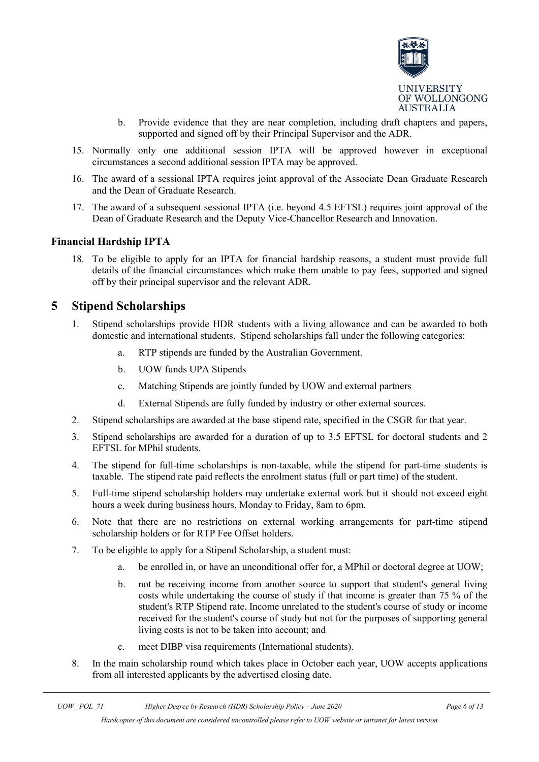

- b. Provide evidence that they are near completion, including draft chapters and papers, supported and signed off by their Principal Supervisor and the ADR.
- 15. Normally only one additional session IPTA will be approved however in exceptional circumstances a second additional session IPTA may be approved.
- 16. The award of a sessional IPTA requires joint approval of the Associate Dean Graduate Research and the Dean of Graduate Research.
- 17. The award of a subsequent sessional IPTA (i.e. beyond 4.5 EFTSL) requires joint approval of the Dean of Graduate Research and the Deputy Vice-Chancellor Research and Innovation.

#### **Financial Hardship IPTA**

18. To be eligible to apply for an IPTA for financial hardship reasons, a student must provide full details of the financial circumstances which make them unable to pay fees, supported and signed off by their principal supervisor and the relevant ADR.

### <span id="page-5-0"></span>**5 Stipend Scholarships**

- 1. Stipend scholarships provide HDR students with a living allowance and can be awarded to both domestic and international students. Stipend scholarships fall under the following categories:
	- a. RTP stipends are funded by the Australian Government.
	- b. UOW funds UPA Stipends
	- c. Matching Stipends are jointly funded by UOW and external partners
	- d. External Stipends are fully funded by industry or other external sources.
- 2. Stipend scholarships are awarded at the base stipend rate, specified in the CSGR for that year.
- 3. Stipend scholarships are awarded for a duration of up to 3.5 EFTSL for doctoral students and 2 EFTSL for MPhil students.
- 4. The stipend for full-time scholarships is non-taxable, while the stipend for part-time students is taxable. The stipend rate paid reflects the enrolment status (full or part time) of the student.
- 5. Full-time stipend scholarship holders may undertake external work but it should not exceed eight hours a week during business hours, Monday to Friday, 8am to 6pm.
- 6. Note that there are no restrictions on external working arrangements for part-time stipend scholarship holders or for RTP Fee Offset holders.
- 7. To be eligible to apply for a Stipend Scholarship, a student must:
	- a. be enrolled in, or have an unconditional offer for, a MPhil or doctoral degree at UOW;
	- b. not be receiving income from another source to support that student's general living costs while undertaking the course of study if that income is greater than 75 % of the student's RTP Stipend rate. Income unrelated to the student's course of study or income received for the student's course of study but not for the purposes of supporting general living costs is not to be taken into account; and
	- c. meet DIBP visa requirements (International students).
- 8. In the main scholarship round which takes place in October each year, UOW accepts applications from all interested applicants by the advertised closing date.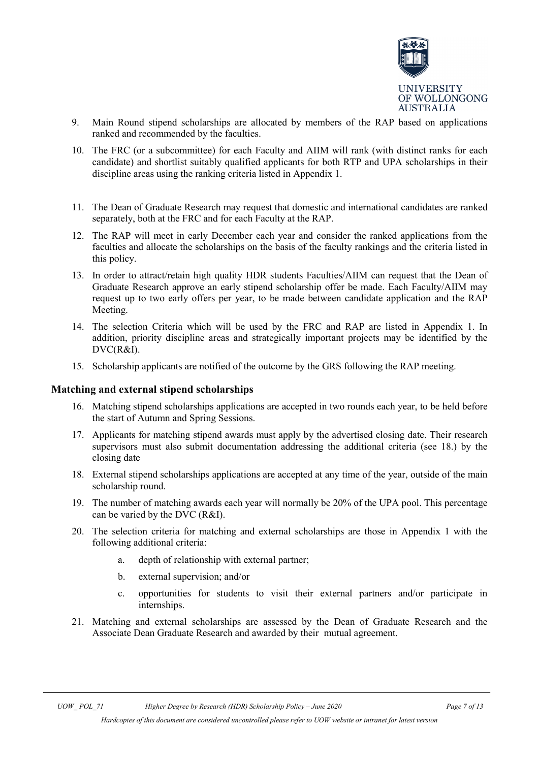

- 9. Main Round stipend scholarships are allocated by members of the RAP based on applications ranked and recommended by the faculties.
- 10. The FRC (or a subcommittee) for each Faculty and AIIM will rank (with distinct ranks for each candidate) and shortlist suitably qualified applicants for both RTP and UPA scholarships in their discipline areas using the ranking criteria listed in Appendix 1.
- 11. The Dean of Graduate Research may request that domestic and international candidates are ranked separately, both at the FRC and for each Faculty at the RAP.
- 12. The RAP will meet in early December each year and consider the ranked applications from the faculties and allocate the scholarships on the basis of the faculty rankings and the criteria listed in this policy.
- 13. In order to attract/retain high quality HDR students Faculties/AIIM can request that the Dean of Graduate Research approve an early stipend scholarship offer be made. Each Faculty/AIIM may request up to two early offers per year, to be made between candidate application and the RAP Meeting.
- 14. The selection Criteria which will be used by the FRC and RAP are listed in Appendix 1. In addition, priority discipline areas and strategically important projects may be identified by the DVC(R&I).
- 15. Scholarship applicants are notified of the outcome by the GRS following the RAP meeting.

#### **Matching and external stipend scholarships**

- 16. Matching stipend scholarships applications are accepted in two rounds each year, to be held before the start of Autumn and Spring Sessions.
- 17. Applicants for matching stipend awards must apply by the advertised closing date. Their research supervisors must also submit documentation addressing the additional criteria (see 18.) by the closing date
- 18. External stipend scholarships applications are accepted at any time of the year, outside of the main scholarship round.
- 19. The number of matching awards each year will normally be 20% of the UPA pool. This percentage can be varied by the DVC (R&I).
- 20. The selection criteria for matching and external scholarships are those in Appendix 1 with the following additional criteria:
	- a. depth of relationship with external partner;
	- b. external supervision; and/or
	- c. opportunities for students to visit their external partners and/or participate in internships.
- 21. Matching and external scholarships are assessed by the Dean of Graduate Research and the Associate Dean Graduate Research and awarded by their mutual agreement.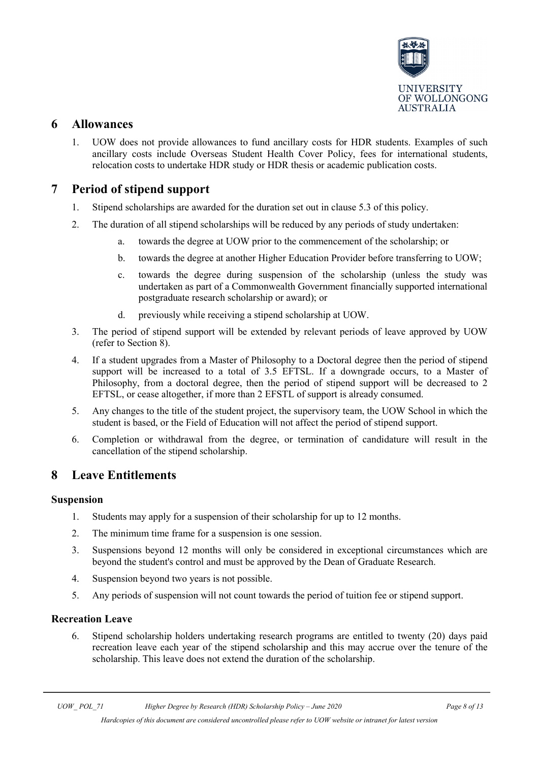

### <span id="page-7-0"></span>**6 Allowances**

1. UOW does not provide allowances to fund ancillary costs for HDR students. Examples of such ancillary costs include Overseas Student Health Cover Policy, fees for international students, relocation costs to undertake HDR study or HDR thesis or academic publication costs.

# <span id="page-7-1"></span>**7 Period of stipend support**

- 1. Stipend scholarships are awarded for the duration set out in clause 5.3 of this policy.
- 2. The duration of all stipend scholarships will be reduced by any periods of study undertaken:
	- a. towards the degree at UOW prior to the commencement of the scholarship; or
	- b. towards the degree at another Higher Education Provider before transferring to UOW;
	- c. towards the degree during suspension of the scholarship (unless the study was undertaken as part of a Commonwealth Government financially supported international postgraduate research scholarship or award); or
	- d. previously while receiving a stipend scholarship at UOW.
- 3. The period of stipend support will be extended by relevant periods of leave approved by UOW (refer to Section 8).
- 4. If a student upgrades from a Master of Philosophy to a Doctoral degree then the period of stipend support will be increased to a total of 3.5 EFTSL. If a downgrade occurs, to a Master of Philosophy, from a doctoral degree, then the period of stipend support will be decreased to 2 EFTSL, or cease altogether, if more than 2 EFSTL of support is already consumed.
- 5. Any changes to the title of the student project, the supervisory team, the UOW School in which the student is based, or the Field of Education will not affect the period of stipend support.
- 6. Completion or withdrawal from the degree, or termination of candidature will result in the cancellation of the stipend scholarship.

### <span id="page-7-2"></span>**8 Leave Entitlements**

#### **Suspension**

- 1. Students may apply for a suspension of their scholarship for up to 12 months.
- 2. The minimum time frame for a suspension is one session.
- 3. Suspensions beyond 12 months will only be considered in exceptional circumstances which are beyond the student's control and must be approved by the Dean of Graduate Research.
- 4. Suspension beyond two years is not possible.
- 5. Any periods of suspension will not count towards the period of tuition fee or stipend support.

#### **Recreation Leave**

6. Stipend scholarship holders undertaking research programs are entitled to twenty (20) days paid recreation leave each year of the stipend scholarship and this may accrue over the tenure of the scholarship. This leave does not extend the duration of the scholarship.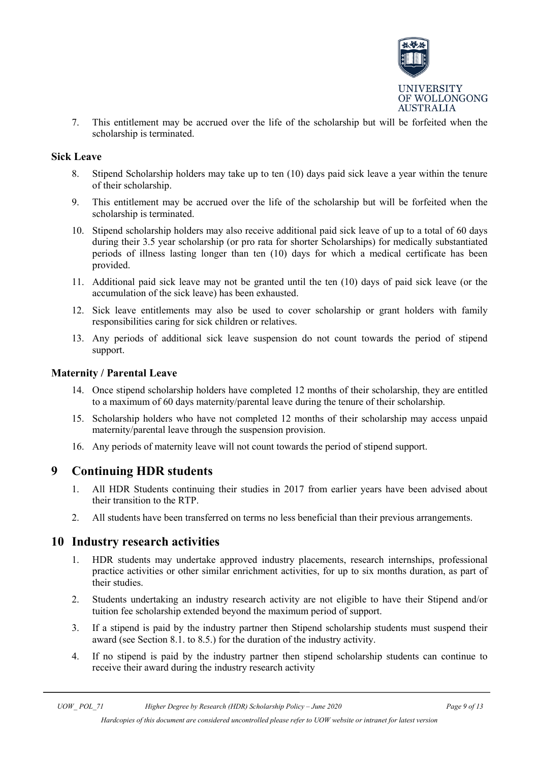

7. This entitlement may be accrued over the life of the scholarship but will be forfeited when the scholarship is terminated.

#### **Sick Leave**

- 8. Stipend Scholarship holders may take up to ten (10) days paid sick leave a year within the tenure of their scholarship.
- 9. This entitlement may be accrued over the life of the scholarship but will be forfeited when the scholarship is terminated.
- 10. Stipend scholarship holders may also receive additional paid sick leave of up to a total of 60 days during their 3.5 year scholarship (or pro rata for shorter Scholarships) for medically substantiated periods of illness lasting longer than ten (10) days for which a medical certificate has been provided.
- 11. Additional paid sick leave may not be granted until the ten (10) days of paid sick leave (or the accumulation of the sick leave) has been exhausted.
- 12. Sick leave entitlements may also be used to cover scholarship or grant holders with family responsibilities caring for sick children or relatives.
- 13. Any periods of additional sick leave suspension do not count towards the period of stipend support.

#### **Maternity / Parental Leave**

- 14. Once stipend scholarship holders have completed 12 months of their scholarship, they are entitled to a maximum of 60 days maternity/parental leave during the tenure of their scholarship.
- 15. Scholarship holders who have not completed 12 months of their scholarship may access unpaid maternity/parental leave through the suspension provision.
- 16. Any periods of maternity leave will not count towards the period of stipend support.

#### <span id="page-8-0"></span>**9 Continuing HDR students**

- 1. All HDR Students continuing their studies in 2017 from earlier years have been advised about their transition to the RTP.
- 2. All students have been transferred on terms no less beneficial than their previous arrangements.

#### <span id="page-8-1"></span>**10 Industry research activities**

- 1. HDR students may undertake approved industry placements, research internships, professional practice activities or other similar enrichment activities, for up to six months duration, as part of their studies.
- 2. Students undertaking an industry research activity are not eligible to have their Stipend and/or tuition fee scholarship extended beyond the maximum period of support.
- 3. If a stipend is paid by the industry partner then Stipend scholarship students must suspend their award (see Section 8.1. to 8.5.) for the duration of the industry activity.
- 4. If no stipend is paid by the industry partner then stipend scholarship students can continue to receive their award during the industry research activity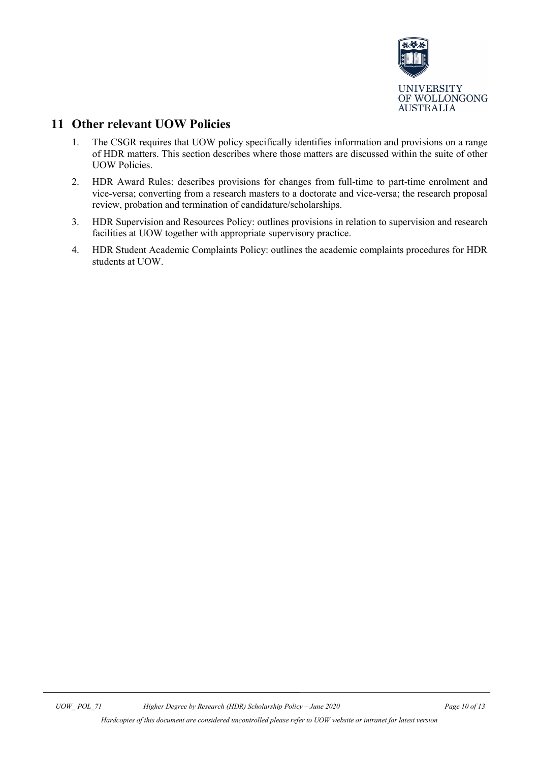

# <span id="page-9-0"></span>**11 Other relevant UOW Policies**

- 1. The CSGR requires that UOW policy specifically identifies information and provisions on a range of HDR matters. This section describes where those matters are discussed within the suite of other UOW Policies.
- 2. HDR Award Rules: describes provisions for changes from full-time to part-time enrolment and vice-versa; converting from a research masters to a doctorate and vice-versa; the research proposal review, probation and termination of candidature/scholarships.
- 3. HDR Supervision and Resources Policy: outlines provisions in relation to supervision and research facilities at UOW together with appropriate supervisory practice.
- 4. HDR Student Academic Complaints Policy: outlines the academic complaints procedures for HDR students at UOW.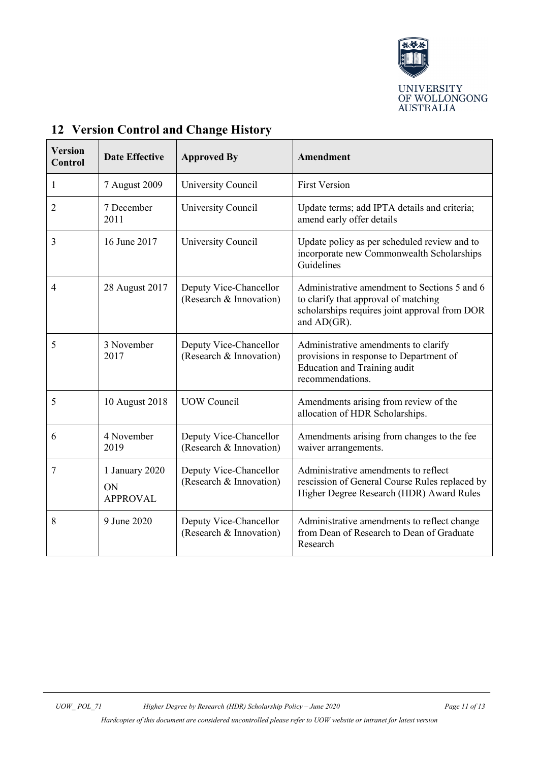

| <b>Version</b><br><b>Control</b> | <b>Date Effective</b>                   | <b>Approved By</b>                                | Amendment                                                                                                                                            |
|----------------------------------|-----------------------------------------|---------------------------------------------------|------------------------------------------------------------------------------------------------------------------------------------------------------|
| $\mathbf{1}$                     | 7 August 2009                           | University Council                                | <b>First Version</b>                                                                                                                                 |
| $\overline{2}$                   | 7 December<br>2011                      | University Council                                | Update terms; add IPTA details and criteria;<br>amend early offer details                                                                            |
| 3                                | 16 June 2017                            | University Council                                | Update policy as per scheduled review and to<br>incorporate new Commonwealth Scholarships<br>Guidelines                                              |
| $\overline{4}$                   | 28 August 2017                          | Deputy Vice-Chancellor<br>(Research & Innovation) | Administrative amendment to Sections 5 and 6<br>to clarify that approval of matching<br>scholarships requires joint approval from DOR<br>and AD(GR). |
| 5                                | 3 November<br>2017                      | Deputy Vice-Chancellor<br>(Research & Innovation) | Administrative amendments to clarify<br>provisions in response to Department of<br><b>Education and Training audit</b><br>recommendations.           |
| 5                                | 10 August 2018                          | <b>UOW</b> Council                                | Amendments arising from review of the<br>allocation of HDR Scholarships.                                                                             |
| 6                                | 4 November<br>2019                      | Deputy Vice-Chancellor<br>(Research & Innovation) | Amendments arising from changes to the fee<br>waiver arrangements.                                                                                   |
| 7                                | 1 January 2020<br>ON<br><b>APPROVAL</b> | Deputy Vice-Chancellor<br>(Research & Innovation) | Administrative amendments to reflect<br>rescission of General Course Rules replaced by<br>Higher Degree Research (HDR) Award Rules                   |
| 8                                | 9 June 2020                             | Deputy Vice-Chancellor<br>(Research & Innovation) | Administrative amendments to reflect change<br>from Dean of Research to Dean of Graduate<br>Research                                                 |

# <span id="page-10-0"></span>**12 Version Control and Change History**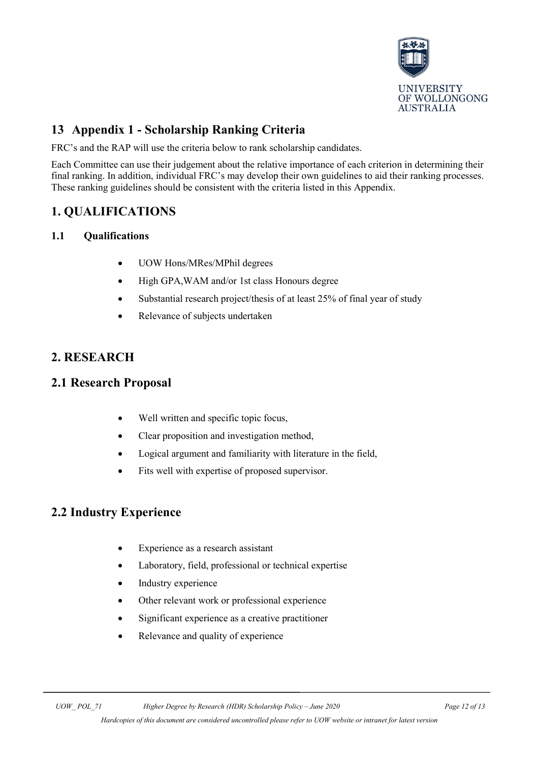

# <span id="page-11-0"></span>**13 Appendix 1 - Scholarship Ranking Criteria**

FRC's and the RAP will use the criteria below to rank scholarship candidates.

Each Committee can use their judgement about the relative importance of each criterion in determining their final ranking. In addition, individual FRC's may develop their own guidelines to aid their ranking processes. These ranking guidelines should be consistent with the criteria listed in this Appendix.

# **1. QUALIFICATIONS**

#### **1.1 Qualifications**

- UOW Hons/MRes/MPhil degrees
- High GPA,WAM and/or 1st class Honours degree
- Substantial research project/thesis of at least 25% of final year of study
- Relevance of subjects undertaken

# **2. RESEARCH**

### **2.1 Research Proposal**

- Well written and specific topic focus,
- Clear proposition and investigation method,
- Logical argument and familiarity with literature in the field,
- Fits well with expertise of proposed supervisor.

# **2.2 Industry Experience**

- Experience as a research assistant
- Laboratory, field, professional or technical expertise
- Industry experience
- Other relevant work or professional experience
- Significant experience as a creative practitioner
- Relevance and quality of experience